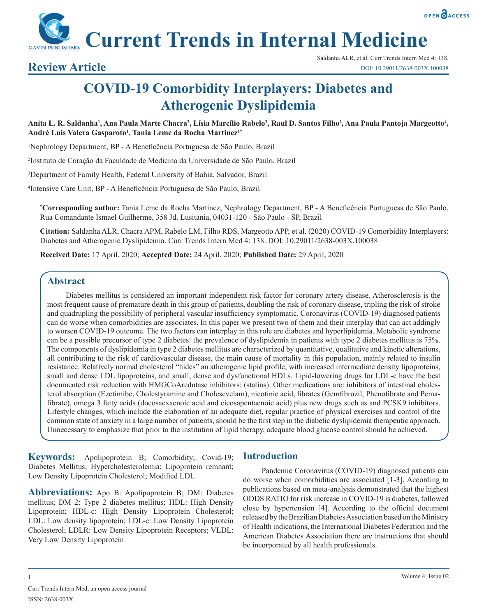

**Current Trends in Internal Medicine**

# **COVID-19 Comorbidity Interplayers: Diabetes and Atherogenic Dyslipidemia**

## Anita L. R. Saldanha<sup>1</sup>, Ana Paula Marte Chacra<sup>2</sup>, Lísia Marcílio Rabelo<sup>3</sup>, Raul D. Santos Filho<sup>2</sup>, Ana Paula Pantoja Margeotto<sup>4</sup>, **André Luis Valera Gasparoto1 , Tania Leme da Rocha Martinez1\***

1 Nephrology Department, BP - A Beneficência Portuguesa de São Paulo, Brazil

2 Instituto de Coração da Faculdade de Medicina da Universidade de São Paulo, Brazil

3 Department of Family Health, Federal University of Bahia, Salvador, Brazil

4 Intensive Care Unit, BP - A Beneficência Portuguesa de São Paulo, Brazil

**\* Corresponding author:** Tania Leme da Rocha Martinez, Nephrology Department, BP - A Beneficência Portuguesa de São Paulo, Rua Comandante Ismael Guilherme, 358 Jd. Lusitania, 04031-120 - São Paulo - SP, Brazil

**Citation:** Saldanha ALR, Chacra APM, Rabelo LM, Filho RDS, Margeotto APP, et al. (2020) COVID-19 Comorbidity Interplayers: Diabetes and Atherogenic Dyslipidemia. Curr Trends Intern Med 4: 138. DOI: 10.29011/2638-003X.100038

**Received Date:** 17 April, 2020; **Accepted Date:** 24 April, 2020; **Published Date:** 29 April, 2020

# **Abstract**

Diabetes mellitus is considered an important independent risk factor for coronary artery disease. Atherosclerosis is the most frequent cause of premature death in this group of patients, doubling the risk of coronary disease, tripling the risk of stroke and quadrupling the possibility of peripheral vascular insufficiency symptomatic. Coronavirus (COVID-19) diagnosed patients can do worse when comorbidities are associates. In this paper we present two of them and their interplay that can act addingly to worsen COVID-19 outcome. The two factors can interplay in this role are diabetes and hyperlipidemia. Metabolic syndrome can be a possible precursor of type 2 diabetes: the prevalence of dyslipidemia in patients with type 2 diabetes mellitus is 75%. The components of dyslipidemia in type 2 diabetes mellitus are characterized by quantitative, qualitative and kinetic alterations, all contributing to the risk of cardiovascular disease, the main cause of mortality in this population, mainly related to insulin resistance. Relatively normal cholesterol "hides" an atherogenic lipid profile, with increased intermediate density lipoproteins, small and dense LDL lipoproteins, and small, dense and dysfunctional HDLs. Lipid-lowering drugs for LDL-c have the best documented risk reduction with HMGCoAredutase inhibitors: (statins). Other medications are: inhibitors of intestinal cholesterol absorption (Ezetimibe, Cholestyramine and Cholesevelam), nicotinic acid, fibrates (Gemfibrozil, Phenofibrate and Pemafibrate), omega 3 fatty acids (docosaexaenoic acid and eicosapentaenoic acid) plus new drugs such as and PCSK9 inhibitors. Lifestyle changes, which include the elaboration of an adequate diet, regular practice of physical exercises and control of the common state of anxiety in a large number of patients, should be the first step in the diabetic dyslipidemia therapeutic approach. Unnecessary to emphasize that prior to the institution of lipid therapy, adequate blood glucose control should be achieved.

**Keywords:** Apolipoprotein B; Comorbidity; Covid-19; Diabetes Mellitus; Hypercholesterolemia; Lipoprotein remnant; Low Density Lipoprotein Cholesterol; Modified LDL

**Abbreviations:** Apo B: Apolipoprotein B; DM: Diabetes mellitus; DM 2: Type 2 diabetes mellitus; HDL: High Density Lipoprotein; HDL-c: High Density Lipoprotein Cholesterol; LDL: Low density lipoprotein; LDL-c: Low Density Lipoprotein Cholesterol; LDLR: Low Density Lipoprotein Receptors; VLDL: Very Low Density Lipoprotein

# **Introduction**

Pandemic Coronavirus (COVID-19) diagnosed patients can do worse when comorbidities are associated [1-3]. According to publications based on meta-analysis demonstrated that the highest ODDS RATIO for risk increase in COVID-19 is diabetes, followed close by hypertension [4]. According to the official document released by the Brazilian Diabetes Association based on the Ministry of Health indications, the International Diabetes Federation and the American Diabetes Association there are instructions that should be incorporated by all health professionals.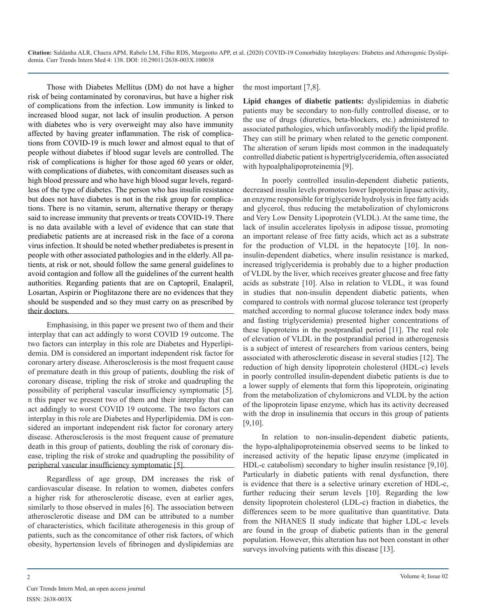Those with Diabetes Mellitus (DM) do not have a higher risk of being contaminated by coronavirus, but have a higher risk of complications from the infection. Low immunity is linked to increased blood sugar, not lack of insulin production. A person with diabetes who is very overweight may also have immunity affected by having greater inflammation. The risk of complications from COVID-19 is much lower and almost equal to that of people without diabetes if blood sugar levels are controlled. The risk of complications is higher for those aged 60 years or older, with complications of diabetes, with concomitant diseases such as high blood pressure and who have high blood sugar levels, regardless of the type of diabetes. The person who has insulin resistance but does not have diabetes is not in the risk group for complications. There is no vitamin, serum, alternative therapy or therapy said to increase immunity that prevents or treats COVID-19. There is no data available with a level of evidence that can state that prediabetic patients are at increased risk in the face of a corona virus infection. It should be noted whether prediabetes is present in people with other associated pathologies and in the elderly. All patients, at risk or not, should follow the same general guidelines to avoid contagion and follow all the guidelines of the current health authorities. Regarding patients that are on Captopril, Enalapril, Losartan, Aspirin or Pioglitazone there are no evidences that they should be suspended and so they must carry on as prescribed by their doctors.

Emphasising, in this paper we present two of them and their interplay that can act addingly to worst COVID 19 outcome. The two factors can interplay in this role are Diabetes and Hyperlipidemia. DM is considered an important independent risk factor for coronary artery disease. Atherosclerosis is the most frequent cause of premature death in this group of patients, doubling the risk of coronary disease, tripling the risk of stroke and quadrupling the possibility of peripheral vascular insufficiency symptomatic [5]. n this paper we present two of them and their interplay that can act addingly to worst COVID 19 outcome. The two factors can interplay in this role are Diabetes and Hyperlipidemia. DM is considered an important independent risk factor for coronary artery disease. Atherosclerosis is the most frequent cause of premature death in this group of patients, doubling the risk of coronary disease, tripling the risk of stroke and quadrupling the possibility of peripheral vascular insufficiency symptomatic [5].

Regardless of age group, DM increases the risk of cardiovascular disease. In relation to women, diabetes confers a higher risk for atherosclerotic disease, even at earlier ages, similarly to those observed in males [6]. The association between atherosclerotic disease and DM can be attributed to a number of characteristics, which facilitate atherogenesis in this group of patients, such as the concomitance of other risk factors, of which obesity, hypertension levels of fibrinogen and dyslipidemias are

the most important [7,8].

**Lipid changes of diabetic patients:** dyslipidemias in diabetic patients may be secondary to non-fully controlled disease, or to the use of drugs (diuretics, beta-blockers, etc.) administered to associated pathologies, which unfavorably modify the lipid profile. They can still be primary when related to the genetic component. The alteration of serum lipids most common in the inadequately controlled diabetic patient is hypertriglyceridemia, often associated with hypoalphalipoproteinemia [9].

In poorly controlled insulin-dependent diabetic patients, decreased insulin levels promotes lower lipoprotein lipase activity, an enzyme responsible for triglyceride hydrolysis in free fatty acids and glycerol, thus reducing the metabolization of chylomicrons and Very Low Density Lipoprotein (VLDL). At the same time, the lack of insulin accelerates lipolysis in adipose tissue, promoting an important release of free fatty acids, which act as a substrate for the production of VLDL in the hepatocyte [10]. In noninsulin-dependent diabetics, where insulin resistance is marked, increased triglyceridemia is probably due to a higher production of VLDL by the liver, which receives greater glucose and free fatty acids as substrate [10]. Also in relation to VLDL, it was found in studies that non-insulin dependent diabetic patients, when compared to controls with normal glucose tolerance test (properly matched according to normal glucose tolerance index body mass and fasting triglyceridemia) presented higher concentrations of these lipoproteins in the postprandial period [11]. The real role of elevation of VLDL in the postprandial period in atherogenesis is a subject of interest of researchers from various centers, being associated with atherosclerotic disease in several studies [12]. The reduction of high density lipoprotein cholesterol (HDL-c) levels in poorly controlled insulin-dependent diabetic patients is due to a lower supply of elements that form this lipoprotein, originating from the metabolization of chylomicrons and VLDL by the action of the lipoprotein lipase enzyme, which has its activity decreased with the drop in insulinemia that occurs in this group of patients [9,10].

In relation to non-insulin-dependent diabetic patients, the hypo-alphalipoproteinemia observed seems to be linked to increased activity of the hepatic lipase enzyme (implicated in HDL-c catabolism) secondary to higher insulin resistance [9,10]. Particularly in diabetic patients with renal dysfunction, there is evidence that there is a selective urinary excretion of HDL-c, further reducing their serum levels [10]. Regarding the low density lipoprotein cholesterol (LDL-c) fraction in diabetics, the differences seem to be more qualitative than quantitative. Data from the NHANES II study indicate that higher LDL-c levels are found in the group of diabetic patients than in the general population. However, this alteration has not been constant in other surveys involving patients with this disease [13].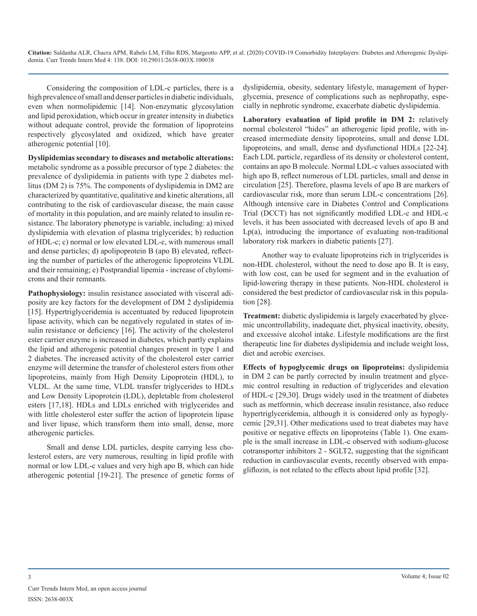Considering the composition of LDL-c particles, there is a high prevalence of small and denser particles in diabetic individuals, even when normolipidemic [14]. Non-enzymatic glycosylation and lipid peroxidation, which occur in greater intensity in diabetics without adequate control, provide the formation of lipoproteins respectively glycosylated and oxidized, which have greater atherogenic potential [10].

**Dyslipidemias secondary to diseases and metabolic alterations:**  metabolic syndrome as a possible precursor of type 2 diabetes: the prevalence of dyslipidemia in patients with type 2 diabetes mellitus (DM 2) is 75%. The components of dyslipidemia in DM2 are characterized by quantitative, qualitative and kinetic alterations, all contributing to the risk of cardiovascular disease, the main cause of mortality in this population, and are mainly related to insulin resistance. The laboratory phenotype is variable, including: a) mixed dyslipidemia with elevation of plasma triglycerides; b) reduction of HDL-c; c) normal or low elevated LDL-c, with numerous small and dense particles; d) apolipoprotein B (apo B) elevated, reflecting the number of particles of the atherogenic lipoproteins VLDL and their remaining; e) Postprandial lipemia - increase of chylomicrons and their remnants.

**Pathophysiology:** insulin resistance associated with visceral adiposity are key factors for the development of DM 2 dyslipidemia [15]. Hypertriglyceridemia is accentuated by reduced lipoprotein lipase activity, which can be negatively regulated in states of insulin resistance or deficiency [16]. The activity of the cholesterol ester carrier enzyme is increased in diabetes, which partly explains the lipid and atherogenic potential changes present in type 1 and 2 diabetes. The increased activity of the cholesterol ester carrier enzyme will determine the transfer of cholesterol esters from other lipoproteins, mainly from High Density Lipoprotein (HDL), to VLDL. At the same time, VLDL transfer triglycerides to HDLs and Low Density Lipoprotein (LDL), depletable from cholesterol esters [17,18]. HDLs and LDLs enriched with triglycerides and with little cholesterol ester suffer the action of lipoprotein lipase and liver lipase, which transform them into small, dense, more atherogenic particles.

Small and dense LDL particles, despite carrying less cholesterol esters, are very numerous, resulting in lipid profile with normal or low LDL-c values and very high apo B, which can hide atherogenic potential [19-21]. The presence of genetic forms of

dyslipidemia, obesity, sedentary lifestyle, management of hyperglycemia, presence of complications such as nephropathy, especially in nephrotic syndrome, exacerbate diabetic dyslipidemia.

**Laboratory evaluation of lipid profile in DM 2:** relatively normal cholesterol "hides" an atherogenic lipid profile, with increased intermediate density lipoproteins, small and dense LDL lipoproteins, and small, dense and dysfunctional HDLs [22-24]. Each LDL particle, regardless of its density or cholesterol content, contains an apo B molecule. Normal LDL-c values associated with high apo B, reflect numerous of LDL particles, small and dense in circulation [25]. Therefore, plasma levels of apo B are markers of cardiovascular risk, more than serum LDL-c concentrations [26]. Although intensive care in Diabetes Control and Complications Trial (DCCT) has not significantly modified LDL-c and HDL-c levels, it has been associated with decreased levels of apo B and  $Lp(a)$ , introducing the importance of evaluating non-traditional laboratory risk markers in diabetic patients [27].

Another way to evaluate lipoproteins rich in triglycerides is non-HDL cholesterol, without the need to dose apo B. It is easy, with low cost, can be used for segment and in the evaluation of lipid-lowering therapy in these patients. Non-HDL cholesterol is considered the best predictor of cardiovascular risk in this population [28].

**Treatment:** diabetic dyslipidemia is largely exacerbated by glycemic uncontrollability, inadequate diet, physical inactivity, obesity, and excessive alcohol intake. Lifestyle modifications are the first therapeutic line for diabetes dyslipidemia and include weight loss, diet and aerobic exercises.

**Effects of hypoglycemic drugs on lipoproteins:** dyslipidemia in DM 2 can be partly corrected by insulin treatment and glycemic control resulting in reduction of triglycerides and elevation of HDL-c [29,30]. Drugs widely used in the treatment of diabetes such as metformin, which decrease insulin resistance, also reduce hypertriglyceridemia, although it is considered only as hypoglycemic [29,31]. Other medications used to treat diabetes may have positive or negative effects on lipoproteins (Table 1). One example is the small increase in LDL-c observed with sodium-glucose cotransporter inhibitors 2 - SGLT2, suggesting that the significant reduction in cardiovascular events, recently observed with empagliflozin, is not related to the effects about lipid profile [32].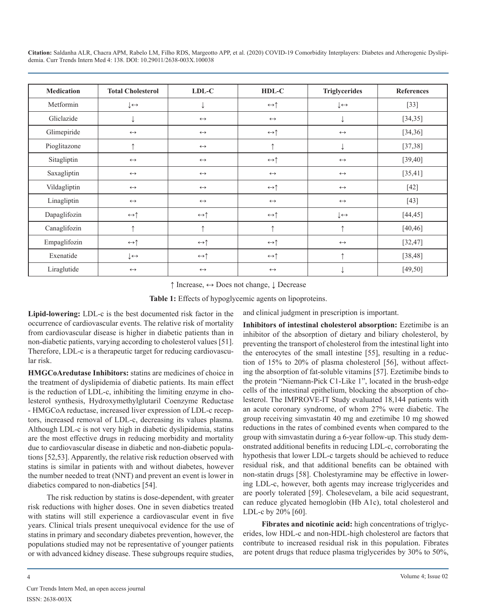| <b>Medication</b> | <b>Total Cholesterol</b>      | LDL-C                      | HDL-C                      | <b>Triglycerides</b>         | <b>References</b> |
|-------------------|-------------------------------|----------------------------|----------------------------|------------------------------|-------------------|
| Metformin         | $\downarrow \leftrightarrow$  |                            | $\leftrightarrow \uparrow$ | $\downarrow \leftrightarrow$ | $[33]$            |
| Gliclazide        | ↓                             | $\leftrightarrow$          | $\longleftrightarrow$      | ↓                            | [34, 35]          |
| Glimepiride       | $\leftrightarrow$             | $\leftrightarrow$          | $\leftrightarrow \uparrow$ | $\leftrightarrow$            | [34, 36]          |
| Pioglitazone      | 个                             | $\leftrightarrow$          | $\uparrow$                 |                              | [37, 38]          |
| Sitagliptin       | $\leftrightarrow$             | $\leftrightarrow$          | $\leftrightarrow \uparrow$ | $\longleftrightarrow$        | [39, 40]          |
| Saxagliptin       | $\leftrightarrow$             | $\leftrightarrow$          | $\leftrightarrow$          | $\longleftrightarrow$        | [35, 41]          |
| Vildagliptin      | $\leftrightarrow$             | $\leftrightarrow$          | $\leftrightarrow \uparrow$ | $\longleftrightarrow$        | $[42]$            |
| Linagliptin       | $\leftrightarrow$             | $\leftrightarrow$          | $\leftrightarrow$          | $\longleftrightarrow$        | $[43]$            |
| Dapaglifozin      | $\leftrightarrow \uparrow$    | $\leftrightarrow \uparrow$ | $\leftrightarrow \uparrow$ | $\downarrow \leftrightarrow$ | [44, 45]          |
| Canaglifozin      | ↑                             | $\uparrow$                 | 个                          | ↑                            | [40, 46]          |
| Empaglifozin      | $\leftrightarrow \uparrow$    | $\leftrightarrow \uparrow$ | $\leftrightarrow \uparrow$ | $\longleftrightarrow$        | [32, 47]          |
| Exenatide         | $\downarrow\,\leftrightarrow$ | $\leftrightarrow \uparrow$ | $\leftrightarrow \uparrow$ | $\uparrow$                   | [38, 48]          |
| Liraglutide       | $\leftrightarrow$             | $\leftrightarrow$          | $\leftrightarrow$          |                              | [49, 50]          |

↑ Increase, ↔ Does not change, ↓ Decrease

**Table 1:** Effects of hypoglycemic agents on lipoproteins.

and clinical judgment in prescription is important.

**Lipid-lowering:** LDL-c is the best documented risk factor in the occurrence of cardiovascular events. The relative risk of mortality from cardiovascular disease is higher in diabetic patients than in non-diabetic patients, varying according to cholesterol values [51]. Therefore, LDL-c is a therapeutic target for reducing cardiovascular risk.

**HMGCoAredutase Inhibitors:** statins are medicines of choice in the treatment of dyslipidemia of diabetic patients. Its main effect is the reduction of LDL-c, inhibiting the limiting enzyme in cholesterol synthesis, Hydroxymethylglutaril Coenzyme Reductase - HMGCoA reductase, increased liver expression of LDL-c receptors, increased removal of LDL-c, decreasing its values plasma. Although LDL-c is not very high in diabetic dyslipidemia, statins are the most effective drugs in reducing morbidity and mortality due to cardiovascular disease in diabetic and non-diabetic populations [52,53]. Apparently, the relative risk reduction observed with statins is similar in patients with and without diabetes, however the number needed to treat (NNT) and prevent an event is lower in diabetics compared to non-diabetics [54].

The risk reduction by statins is dose-dependent, with greater risk reductions with higher doses. One in seven diabetics treated with statins will still experience a cardiovascular event in five years. Clinical trials present unequivocal evidence for the use of statins in primary and secondary diabetes prevention, however, the populations studied may not be representative of younger patients or with advanced kidney disease. These subgroups require studies,

**Inhibitors of intestinal cholesterol absorption:** Ezetimibe is an inhibitor of the absorption of dietary and biliary cholesterol, by preventing the transport of cholesterol from the intestinal light into the enterocytes of the small intestine [55], resulting in a reduction of 15% to 20% of plasma cholesterol [56], without affecting the absorption of fat-soluble vitamins [57]. Ezetimibe binds to the protein "Niemann-Pick C1-Like 1", located in the brush-edge cells of the intestinal epithelium, blocking the absorption of cholesterol. The IMPROVE-IT Study evaluated 18,144 patients with an acute coronary syndrome, of whom 27% were diabetic. The group receiving simvastatin 40 mg and ezetimibe 10 mg showed reductions in the rates of combined events when compared to the group with simvastatin during a 6-year follow-up. This study demonstrated additional benefits in reducing LDL-c, corroborating the hypothesis that lower LDL-c targets should be achieved to reduce residual risk, and that additional benefits can be obtained with non-statin drugs [58]. Cholestyramine may be effective in lowering LDL-c, however, both agents may increase triglycerides and are poorly tolerated [59]. Cholesevelam, a bile acid sequestrant, can reduce glycated hemoglobin (Hb A1c), total cholesterol and LDL-c by 20% [60].

**Fibrates and nicotinic acid:** high concentrations of triglycerides, low HDL-c and non-HDL-high cholesterol are factors that contribute to increased residual risk in this population. Fibrates are potent drugs that reduce plasma triglycerides by 30% to 50%,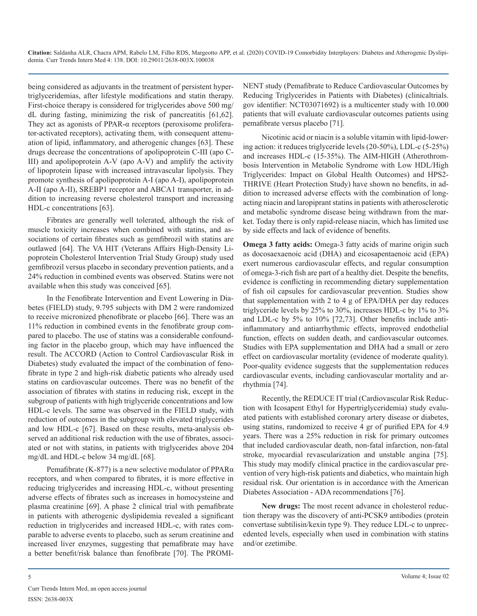being considered as adjuvants in the treatment of persistent hypertriglyceridemias, after lifestyle modifications and statin therapy. First-choice therapy is considered for triglycerides above 500 mg/ dL during fasting, minimizing the risk of pancreatitis [61,62]. They act as agonists of PPAR-α receptors (peroxisome proliferator-activated receptors), activating them, with consequent attenuation of lipid, inflammatory, and atherogenic changes [63]. These drugs decrease the concentrations of apolipoprotein C-III (apo C-III) and apolipoprotein A-V (apo A-V) and amplify the activity of lipoprotein lipase with increased intravascular lipolysis. They promote synthesis of apolipoprotein A-I (apo A-I), apolipoprotein A-II (apo A-II), SREBP1 receptor and ABCA1 transporter, in addition to increasing reverse cholesterol transport and increasing HDL-c concentrations [63].

Fibrates are generally well tolerated, although the risk of muscle toxicity increases when combined with statins, and associations of certain fibrates such as gemfibrozil with statins are outlawed [64]. The VA HIT (Veterans Affairs High-Density Lipoprotein Cholesterol Intervention Trial Study Group) study used gemfibrozil versus placebo in secondary prevention patients, and a 24% reduction in combined events was observed. Statins were not available when this study was conceived [65].

In the Fenofibrate Intervention and Event Lowering in Diabetes (FIELD) study, 9.795 subjects with DM 2 were randomized to receive micronized phenofibrate or placebo [66]. There was an 11% reduction in combined events in the fenofibrate group compared to placebo. The use of statins was a considerable confounding factor in the placebo group, which may have influenced the result. The ACCORD (Action to Control Cardiovascular Risk in Diabetes) study evaluated the impact of the combination of fenofibrate in type 2 and high-risk diabetic patients who already used statins on cardiovascular outcomes. There was no benefit of the association of fibrates with statins in reducing risk, except in the subgroup of patients with high triglyceride concentrations and low HDL-c levels. The same was observed in the FIELD study, with reduction of outcomes in the subgroup with elevated triglycerides and low HDL-c [67]. Based on these results, meta-analysis observed an additional risk reduction with the use of fibrates, associated or not with statins, in patients with triglycerides above 204 mg/dL and HDL-c below 34 mg/dL [68].

Pemafibrate (K-877) is a new selective modulator of PPAR $\alpha$ receptors, and when compared to fibrates, it is more effective in reducing triglycerides and increasing HDL-c, without presenting adverse effects of fibrates such as increases in homocysteine and plasma creatinine [69]. A phase 2 clinical trial with pemafibrate in patients with atherogenic dyslipidemia revealed a significant reduction in triglycerides and increased HDL-c, with rates comparable to adverse events to placebo, such as serum creatinine and increased liver enzymes, suggesting that pemafibrate may have a better benefit/risk balance than fenofibrate [70]. The PROMI-

NENT study (Pemafibrate to Reduce Cardiovascular Outcomes by Reducing Triglycerides in Patients with Diabetes) (clinicaltrials. gov identifier: NCT03071692) is a multicenter study with 10.000 patients that will evaluate cardiovascular outcomes patients using pemafibrate versus placebo [71].

Nicotinic acid or niacin is a soluble vitamin with lipid-lowering action: it reduces triglyceride levels (20-50%), LDL-c (5-25%) and increases HDL-c (15-35%). The AIM-HIGH (Atherothrombosis Intervention in Metabolic Syndrome with Low HDL/High Triglycerides: Impact on Global Health Outcomes) and HPS2- THRIVE (Heart Protection Study) have shown no benefits, in addition to increased adverse effects with the combination of longacting niacin and laropiprant statins in patients with atherosclerotic and metabolic syndrome disease being withdrawn from the market. Today there is only rapid-release niacin, which has limited use by side effects and lack of evidence of benefits.

**Omega 3 fatty acids:** Omega-3 fatty acids of marine origin such as docosaexaenoic acid (DHA) and eicosapentaenoic acid (EPA) exert numerous cardiovascular effects, and regular consumption of omega-3-rich fish are part of a healthy diet. Despite the benefits, evidence is conflicting in recommending dietary supplementation of fish oil capsules for cardiovascular prevention. Studies show that supplementation with 2 to 4 g of EPA/DHA per day reduces triglyceride levels by 25% to 30%, increases HDL-c by 1% to 3% and LDL-c by 5% to 10% [72,73]. Other benefits include antiinflammatory and antiarrhythmic effects, improved endothelial function, effects on sudden death, and cardiovascular outcomes. Studies with EPA supplementation and DHA had a small or zero effect on cardiovascular mortality (evidence of moderate quality). Poor-quality evidence suggests that the supplementation reduces cardiovascular events, including cardiovascular mortality and arrhythmia [74].

Recently, the REDUCE IT trial (Cardiovascular Risk Reduction with Icosapent Ethyl for Hypertriglyceridemia) study evaluated patients with established coronary artery disease or diabetes, using statins, randomized to receive 4 gr of purified EPA for 4.9 years. There was a 25% reduction in risk for primary outcomes that included cardiovascular death, non-fatal infarction, non-fatal stroke, myocardial revascularization and unstable angina [75]. This study may modify clinical practice in the cardiovascular prevention of very high-risk patients and diabetics, who maintain high residual risk. Our orientation is in accordance with the American Diabetes Association - ADA recommendations [76].

**New drugs:** The most recent advance in cholesterol reduction therapy was the discovery of anti-PCSK9 antibodies (protein convertase subtilisin/kexin type 9). They reduce LDL-c to unprecedented levels, especially when used in combination with statins and/or ezetimibe.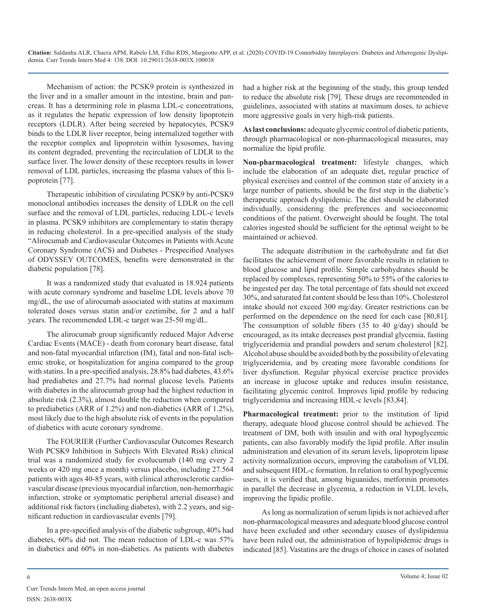Mechanism of action: the PCSK9 protein is synthesized in the liver and in a smaller amount in the intestine, brain and pancreas. It has a determining role in plasma LDL-c concentrations, as it regulates the hepatic expression of low density lipoprotein receptors (LDLR). After being secreted by hepatocytes, PCSK9 binds to the LDLR liver receptor, being internalized together with the receptor complex and lipoprotein within lysosomes, having its content degraded, preventing the recirculation of LDLR to the surface liver. The lower density of these receptors results in lower removal of LDL particles, increasing the plasma values of this lipoprotein [77].

Therapeutic inhibition of circulating PCSK9 by anti-PCSK9 monoclonal antibodies increases the density of LDLR on the cell surface and the removal of LDL particles, reducing LDL-c levels in plasma. PCSK9 inhibitors are complementary to statin therapy in reducing cholesterol. In a pre-specified analysis of the study "Alirocumab and Cardiovascular Outcomes in Patients with Acute Coronary Syndrome (ACS) and Diabetes - Prespecified Analyses of ODYSSEY OUTCOMES, benefits were demonstrated in the diabetic population [78].

It was a randomized study that evaluated in 18.924 patients with acute coronary syndrome and baseline LDL levels above 70 mg/dL, the use of alirocumab associated with statins at maximum tolerated doses versus statin and/or ezetimibe, for 2 and a half years. The recommended LDL-c target was 25-50 mg/dL.

The alirocumab group significantly reduced Major Adverse Cardiac Events (MACE) - death from coronary heart disease, fatal and non-fatal myocardial infarction (IM), fatal and non-fatal ischemic stroke, or hospitalization for angina compared to the group with statins. In a pre-specified analysis, 28.8% had diabetes, 43.6% had prediabetes and 27.7% had normal glucose levels. Patients with diabetes in the alirocumab group had the highest reduction in absolute risk (2.3%), almost double the reduction when compared to prediabetics (ARR of 1.2%) and non-diabetics (ARR of 1.2%), most likely due to the high absolute risk of events in the population of diabetics with acute coronary syndrome.

The FOURIER (Further Cardiovascular Outcomes Research With PCSK9 Inhibition in Subjects With Elevated Risk) clinical trial was a randomized study for evolucumab (140 mg every 2 weeks or 420 mg once a month) versus placebo, including 27.564 patients with ages 40-85 years, with clinical atherosclerotic cardiovascular disease (previous myocardial infarction, non-hemorrhagic infarction, stroke or symptomatic peripheral arterial disease) and additional risk factors (including diabetes), with 2.2 years, and significant reduction in cardiovascular events [79].

In a pre-specified analysis of the diabetic subgroup, 40% had diabetes, 60% did not. The mean reduction of LDL-c was 57% in diabetics and 60% in non-diabetics. As patients with diabetes had a higher risk at the beginning of the study, this group tended to reduce the absolute risk [79]. These drugs are recommended in guidelines, associated with statins at maximum doses, to achieve more aggressive goals in very high-risk patients.

**As last conclusions:** adequate glycemic control of diabetic patients, through pharmacological or non-pharmacological measures, may normalize the lipid profile.

**Non-pharmacological treatment:** lifestyle changes, which include the elaboration of an adequate diet, regular practice of physical exercises and control of the common state of anxiety in a large number of patients, should be the first step in the diabetic's therapeutic approach dyslipidemic. The diet should be elaborated individually, considering the preferences and socioeconomic conditions of the patient. Overweight should be fought. The total calories ingested should be sufficient for the optimal weight to be maintained or achieved.

The adequate distribution in the carbohydrate and fat diet facilitates the achievement of more favorable results in relation to blood glucose and lipid profile. Simple carbohydrates should be replaced by complexes, representing 50% to 55% of the calories to be ingested per day. The total percentage of fats should not exceed 30%, and saturated fat content should be less than 10%. Cholesterol intake should not exceed 300 mg/day. Greater restrictions can be performed on the dependence on the need for each case [80,81]. The consumption of soluble fibers  $(35 \text{ to } 40 \text{ g/day})$  should be encouraged, as its intake decreases post prandial glycemia, fasting triglyceridemia and prandial powders and serum cholesterol [82]. Alcohol abuse should be avoided both by the possibility of elevating triglyceridemia, and by creating more favorable conditions for liver dysfunction. Regular physical exercise practice provides an increase in glucose uptake and reduces insulin resistance, facilitating glycemic control. Improves lipid profile by reducing triglyceridemia and increasing HDL-c levels [83,84].

**Pharmacological treatment:** prior to the institution of lipid therapy, adequate blood glucose control should be achieved. The treatment of DM, both with insulin and with oral hypoglycemic patients, can also favorably modify the lipid profile. After insulin administration and elevation of its serum levels, lipoprotein lipase activity normalization occurs, improving the catabolism of VLDL and subsequent HDL-c formation. In relation to oral hypoglycemic users, it is verified that, among biguanides, metformin promotes in parallel the decrease in glycemia, a reduction in VLDL levels, improving the lipidic profile.

As long as normalization of serum lipids is not achieved after non-pharmacological measures and adequate blood glucose control have been excluded and other secondary causes of dyslipidemia have been ruled out, the administration of hypolipidemic drugs is indicated [85]. Vastatins are the drugs of choice in cases of isolated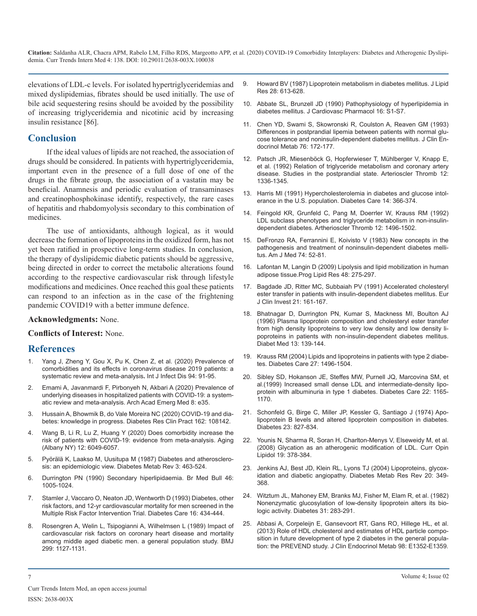elevations of LDL-c levels. For isolated hypertriglyceridemias and [mixed dyslipidemias, fibrates should be used initially. The use of](https://www.ncbi.nlm.nih.gov/pubmed/3302085)  bile acid sequestering resins should be avoided by the possibility [of increasing triglyceridemia and nicotinic acid by increasing](https://www.ncbi.nlm.nih.gov/pubmed/1710739)  insulin resistance [86].

# **Conclusion**

If the ideal values of lipids are not reached, the association of drugs should be considered. In patients with hypertriglyceridemia, important even in the presence of a full dose of one of the drugs in the fibrate group, the association of a vastatin may be beneficial. Anamnesis and periodic evaluation of transaminases [and creatinophosphokinase identify, respectively, the rare cases](https://www.ncbi.nlm.nih.gov/pubmed/2060448)  of hepatitis and rhabdomyolysis secondary to this combination of medicines.

The use of antioxidants, although logical, as it would decrease the formation of lipoproteins in the oxidized form, has not [yet been ratified in prospective long-term studies. In conclusion,](https://www.ncbi.nlm.nih.gov/pubmed/6337486)  the therapy of dyslipidemic diabetic patients should be aggressive, being directed in order to correct the metabolic alterations found [according to the respective cardiovascular risk through lifestyle](https://www.ncbi.nlm.nih.gov/pubmed/19464318)  modifications and medicines. Once reached this goal these patients [can respond to an infection as in the case of the frightening](https://www.ncbi.nlm.nih.gov/pubmed/1905628)  pandemic COVID19 with a better immune defence.

### **Acknowledgments:** None.

#### **Conflicts of Interest:** None.

# **References**

- [Yang J, Zheng Y, Gou X, Pu K, Chen Z, et al. \(2020\) Prevalence of](https://www.ijidonline.com/article/S1201-9712(20)30136-3/fulltext) [comorbidities and its effects in coronavirus disease 2019 patients: a](https://www.ijidonline.com/article/S1201-9712(20)30136-3/fulltext)  [systematic review and meta-analysis](https://www.ijidonline.com/article/S1201-9712(20)30136-3/fulltext)**.** Int J Infect Dis 94: 91-95.
- 2. [Emami A, Javanmardi F, Pirbonyeh N, Akbari A \(2020\) Prevalence of](https://www.ncbi.nlm.nih.gov/pmc/articles/PMC7096724/)  [underlying diseases in hospitalized patients with COVID-19: a system](https://www.ncbi.nlm.nih.gov/pmc/articles/PMC7096724/)[atic review and meta-analysis. Arch Acad Emerg Med 8: e35.](https://www.ncbi.nlm.nih.gov/pmc/articles/PMC7096724/)
- 3. [Hussain A, Bhowmik B, do Vale Moreira NC \(2020\) COVID-19](https://www.ncbi.nlm.nih.gov/pmc/articles/PMC7144611/) and dia[betes: knowledge in progress. Diabetes Res Clin Pract 162: 108142.](https://www.ncbi.nlm.nih.gov/pmc/articles/PMC7144611/)
- Wang B, Li R, Lu Z, Huang Y (2020) Does comorbidity increase the [risk of patients with COVID-19: evidence from meta-analysis. Aging](https://www.ncbi.nlm.nih.gov/pubmed/32267833)  [\(Albany NY\) 12: 6049-6057.](https://www.ncbi.nlm.nih.gov/pubmed/32267833)
- 5. [Pyörälä K, Laakso M, Uusitupa M \(1987\) Diabetes and atherosclero](https://www.ncbi.nlm.nih.gov/pubmed/3552530)[sis: an epidemiologic view. Diabetes Metab Rev 3: 463-524.](https://www.ncbi.nlm.nih.gov/pubmed/3552530)
- 6. [Durrington PN \(1990\) Secondary hiperlipidaemia. Br Med Bull 46:](https://www.ncbi.nlm.nih.gov/pubmed/2100685) [1005-1024.](https://www.ncbi.nlm.nih.gov/pubmed/2100685)
- 7. [Stamler J, Vaccaro O, Neaton JD, Wentworth D \(1993\) Diabetes, other](https://www.ncbi.nlm.nih.gov/pubmed/8432214) [risk factors, and 12-yr cardiovascular mortality for men screened in the](https://www.ncbi.nlm.nih.gov/pubmed/8432214)  [Multiple Risk Factor Intervention Trial. Diabetes Care 16: 434-444.](https://www.ncbi.nlm.nih.gov/pubmed/8432214)
- 8. [Rosengren A, Welin L, Tsipogianni A, Wilhelmsen L \(1989\) Impact of](https://www.ncbi.nlm.nih.gov/pubmed/2513018)  [cardiovascular risk factors on coronary heart disease and mortality](https://www.ncbi.nlm.nih.gov/pubmed/2513018) [among middle aged diabetic men. a general population study. BMJ](https://www.ncbi.nlm.nih.gov/pubmed/2513018)  [299: 1127-1131.](https://www.ncbi.nlm.nih.gov/pubmed/2513018)
- 9. [Howard BV \(1987\) Lipoprotein metabolism in diabetes mellitus. J Lipid](https://www.ncbi.nlm.nih.gov/pubmed/3302085)  Res 28: 613-628.
- 10. [Abbate SL, Brunzell JD \(1990\) Pathophysiology of hyperlipidemia in](https://www.ncbi.nlm.nih.gov/pubmed/1710739)  diabetes mellitus. J Cardiovasc Pharmacol 16: S1-S7.
- 11. [Chen YD, Swami S, Skowronski R, Coulston A, Reaven GM \(1993\)](https://www.ncbi.nlm.nih.gov/pubmed/8421086) [Differences in postprandial lipemia between patients with normal glu](https://www.ncbi.nlm.nih.gov/pubmed/8421086)[cose tolerance and noninsulin-dependent diabetes mellitus. J Clin En](https://www.ncbi.nlm.nih.gov/pubmed/8421086)[docrinol Metab 76: 172-177.](https://www.ncbi.nlm.nih.gov/pubmed/8421086)
- 12. [Patsch JR, Miesenböck G, Hopferwieser T, Mühlberger V, Knapp E,](https://www.ncbi.nlm.nih.gov/pubmed/1420093) [et al. \(1992\) Relation of triglyceride metabolism and coronary artery](https://www.ncbi.nlm.nih.gov/pubmed/1420093)  [disease. Studies in the postprandial state. Arterioscler Thromb 12:](https://www.ncbi.nlm.nih.gov/pubmed/1420093)  [1336-1345.](https://www.ncbi.nlm.nih.gov/pubmed/1420093)
- 13. [Harris MI \(1991\) Hypercholesterolemia in diabetes and glucose intol](https://www.ncbi.nlm.nih.gov/pubmed/2060448)erance in the U.S. population. Diabetes Care 14: 366-374.
- 14. [Feingold KR, Grunfeld C, Pang M, Doerrler W, Krauss RM \(1992\)](https://www.ncbi.nlm.nih.gov/pubmed/1450181) [LDL subclass phenotypes and triglyceride metabolism in non-insulin](https://www.ncbi.nlm.nih.gov/pubmed/1450181)[dependent diabetes. Artherioscler Thromb 12: 1496-1502.](https://www.ncbi.nlm.nih.gov/pubmed/1450181)
- 15. [DeFronzo RA, Ferrannini E, Koivisto V \(1983\) New concepts in the](https://www.ncbi.nlm.nih.gov/pubmed/6337486)  pathogenesis and treatment of noninsulin-dependent diabetes melli[tus. Am J Med 74: 52-81.](https://www.ncbi.nlm.nih.gov/pubmed/6337486)
- 16. [Lafontan M, Langin D \(2009\) Lipolysis and lipid mobilization in human](https://www.ncbi.nlm.nih.gov/pubmed/19464318)  adipose tissue.Prog Lipid Res 48: 275-297.
- 17. [Bagdade JD, Ritter MC, Subbaiah PV \(1991\) Accelerated cholesteryl](https://www.ncbi.nlm.nih.gov/pubmed/1905628)  ester transfer in patients with insulin-dependent diabetes mellitus. Eur [J Clin Invest 21: 161-167.](https://www.ncbi.nlm.nih.gov/pubmed/1905628)
- 18. [Bhatnagar D, Durrington PN, Kumar S, Mackness MI, Boulton AJ](https://www.ncbi.nlm.nih.gov/pubmed/8641118)  [\(1996\) Plasma lipoprotein composition and cholesteryl ester transfer](https://www.ncbi.nlm.nih.gov/pubmed/8641118)  [from high density lipoproteins to very low density and low density li](https://www.ncbi.nlm.nih.gov/pubmed/8641118)[poproteins in patients with non-insulin-dependent diabetes mellitus.](https://www.ncbi.nlm.nih.gov/pubmed/8641118)  [Diabet Med 13: 139-144.](https://www.ncbi.nlm.nih.gov/pubmed/8641118)
- 19. [Krauss RM \(2004\) Lipids and lipoproteins in patients with type 2 diabe](https://www.ncbi.nlm.nih.gov/pubmed/15161808)tes. Diabetes Care 27: 1496-1504.
- 20. [Sibley SD, Hokanson JE, Steffes MW, Purnell JQ, Marcovina SM, et](https://www.ncbi.nlm.nih.gov/pubmed/10388983)  [al.\(1999\) Increased small dense LDL and intermediate-density lipo](https://www.ncbi.nlm.nih.gov/pubmed/10388983)[protein with albuminuria in type 1 diabetes. Diabetes Care 22: 1165-](https://www.ncbi.nlm.nih.gov/pubmed/10388983) [1170.](https://www.ncbi.nlm.nih.gov/pubmed/10388983)
- 21. [Schonfeld G, Birge C, Miller JP, Kessler G, Santiago J \(1974\) Apo](https://diabetes.diabetesjournals.org/content/23/10/827)[lipoprotein B levels and altered lipoprotein composition in diabetes.](https://diabetes.diabetesjournals.org/content/23/10/827)  [Diabetes 23: 827-834.](https://diabetes.diabetesjournals.org/content/23/10/827)
- 22. [Younis N, Sharma R, Soran H, Charlton-Menys V, Elseweidy M, et al.](https://www.ncbi.nlm.nih.gov/pubmed/18607185)  [\(2008\) Glycation as an atherogenic modification of LDL. Curr Opin](https://www.ncbi.nlm.nih.gov/pubmed/18607185) [Lipidol 19: 378-384.](https://www.ncbi.nlm.nih.gov/pubmed/18607185)
- 23. [Jenkins AJ, Best JD, Klein RL, Lyons TJ \(2004\) Lipoproteins, glycox](https://www.ncbi.nlm.nih.gov/pubmed/15343582)[idation and diabetic angiopathy. Diabetes Metab Res Rev 20: 349-](https://www.ncbi.nlm.nih.gov/pubmed/15343582) [368.](https://www.ncbi.nlm.nih.gov/pubmed/15343582)
- 24. [Witztum JL, Mahoney EM, Branks MJ, Fisher M, Elam R, et al. \(1982\)](https://www.ncbi.nlm.nih.gov/pubmed/6818075)  [Nonenzymatic glucosylation of low-density lipoprotein alters its bio](https://www.ncbi.nlm.nih.gov/pubmed/6818075)[logic activity. Diabetes 31: 283-291.](https://www.ncbi.nlm.nih.gov/pubmed/6818075)
- 25. [Abbasi A, Corpeleijn E, Gansevoort RT, Gans RO, Hillege HL, et al.](https://www.ncbi.nlm.nih.gov/pubmed/23690306)  [\(2013\) Role of HDL cholesterol and estimates of HDL particle compo](https://www.ncbi.nlm.nih.gov/pubmed/23690306)[sition in future development of type 2 diabetes in the general popula](https://www.ncbi.nlm.nih.gov/pubmed/23690306)[tion: the PREVEND study. J Clin Endocrinol Metab 98: E1352-E1359.](https://www.ncbi.nlm.nih.gov/pubmed/23690306)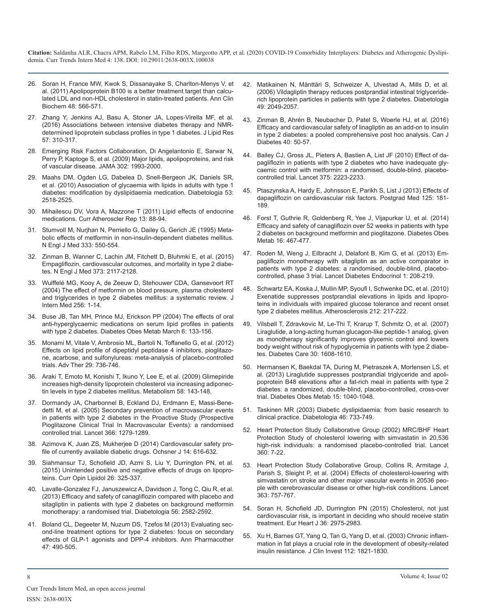- 26. [Soran H, France MW, Kwok S, Dissanayake S, Charlton-Menys V, et](https://www.ncbi.nlm.nih.gov/pubmed/22006975)  al. (2011) Apolipoprotein B100 is a better treatment target than calcu[lated LDL and non-HDL cholesterol in statin-treated patients. Ann Clin](https://www.ncbi.nlm.nih.gov/pubmed/22006975)  [Biochem 48: 566-571.](https://www.ncbi.nlm.nih.gov/pubmed/22006975)
- 27. [Zhang Y, Jenkins AJ, Basu A, Stoner JA, Lopes-Virella MF, et al.](https://www.ncbi.nlm.nih.gov/pmc/articles/PMC4727426/)  (2016) Associations between intensive diabetes therapy and NMR[determined lipoprotein subclass profiles in type 1 diabetes. J Lipid Res](https://www.ncbi.nlm.nih.gov/pmc/articles/PMC4727426/)  [57: 310-317.](https://www.ncbi.nlm.nih.gov/pmc/articles/PMC4727426/)
- 28. [Emerging Risk Factors Collaboration, Di Angelantonio E, Sarwar N,](https://www.ncbi.nlm.nih.gov/pubmed/19903920)  Perry P, Kaptoge S, et al. (2009) Major lipids, apolipoproteins, and risk [of vascular disease. JAMA 302: 1993-2000.](https://www.ncbi.nlm.nih.gov/pubmed/19903920)
- 29. [Maahs DM, Ogden LG, Dabelea D, Snell-Bergeon JK, Daniels SR,](https://www.ncbi.nlm.nih.gov/pubmed/20820753)  et al. (2010) Association of glycaemia with lipids in adults with type 1 [diabetes: modification by dyslipidaemia medication. Diabetologia 53:](https://www.ncbi.nlm.nih.gov/pubmed/20820753)  [2518-2525.](https://www.ncbi.nlm.nih.gov/pubmed/20820753)
- 30. [Mihailescu DV, Vora A, Mazzone T \(2011\) Lipid effects of endocrine](https://www.ncbi.nlm.nih.gov/pubmed/21104166)  medications. Curr Atheroscler Rep 13: 88-94.
- 31. [Stumvoll M, Nurjhan N, Perriello G, Dailey G, Gerich JE \(1995\) Meta](https://www.ncbi.nlm.nih.gov/pubmed/7623903)bolic effects of metformin in non-insulin-dependent diabetes mellitus. [N Engl J Med 333: 550-554.](https://www.ncbi.nlm.nih.gov/pubmed/7623903)
- 32. [Zinman B, Wanner C, Lachin JM, Fitchett D, Bluhmki E, et al. \(2015\)](https://www.ncbi.nlm.nih.gov/pubmed/26378978) Empagliflozin, cardiovascular outcomes, and mortality in type 2 diabe[tes. N Engl J Med 373: 2117-2128.](https://www.ncbi.nlm.nih.gov/pubmed/26378978)
- 33. [Wulffelé MG, Kooy A, de Zeeuw D, Stehouwer CDA, Gansevoort RT](https://www.ncbi.nlm.nih.gov/pubmed/15189360)  (2004) The effect of metformin on blood pressure, plasma cholesterol [and triglycerides in type 2 diabetes mellitus: a systematic review. J](https://www.ncbi.nlm.nih.gov/pubmed/15189360)  [Intern Med 256: 1-14.](https://www.ncbi.nlm.nih.gov/pubmed/15189360)
- 34. [Buse JB, Tan MH, Prince MJ, Erickson PP \(2004\) The effects of oral](https://www.ncbi.nlm.nih.gov/pubmed/14746579)  anti-hyperglycaemic medications on serum lipid profiles in patients [with type 2 diabetes. Diabetes Obes Metab March 6: 133-156.](https://www.ncbi.nlm.nih.gov/pubmed/14746579)
- 35. [Monami M, Vitale V, Ambrosio ML, Bartoli N, Toffanello G, et al. \(2012\)](https://www.ncbi.nlm.nih.gov/pubmed/22923161)  [Effects on lipid profile of dipeptidyl peptidase 4 inhibitors, pioglitazo](https://www.ncbi.nlm.nih.gov/pubmed/22923161)[ne, acarbose, and sulfonylureas: meta-analysis of placebo-controlled](https://www.ncbi.nlm.nih.gov/pubmed/22923161)  [trials. Adv Ther 29: 736-746.](https://www.ncbi.nlm.nih.gov/pubmed/22923161)
- 36. [Araki T, Emoto M, Konishi T, Ikuno Y, Lee E, et al. \(2009\) Glimepiride](https://www.ncbi.nlm.nih.gov/pubmed/19154945)  increases high-density lipoprotein cholesterol via increasing adiponec[tin levels in type 2 diabetes mellitus. Metabolism 58: 143-148.](https://www.ncbi.nlm.nih.gov/pubmed/19154945)
- 37. [Dormandy JA, Charbonnel B, Eckland DJ, Erdmann E, Massi-Bene](https://www.ncbi.nlm.nih.gov/pubmed/16214598)detti M, et al. (2005) Secondary prevention of macrovascular events [in patients with type 2 diabetes in the Proactive Study \(Prospective](https://www.ncbi.nlm.nih.gov/pubmed/16214598)  [Pioglitazone Clinical Trial In Macrovascular Events\): a randomised](https://www.ncbi.nlm.nih.gov/pubmed/16214598)  [controlled trial. Lancet 366: 1279-1289.](https://www.ncbi.nlm.nih.gov/pubmed/16214598)
- 38. [Azimova K, Juan ZS, Mukherjee D \(2014\) Cardiovascular safety pro](https://www.ncbi.nlm.nih.gov/pubmed/25598727)file of currently available diabetic drugs. Ochsner J 14: 616-632.
- 39. [Siahmansur TJ, Schofield JD, Azmi S, Liu Y, Durrington PN, et al.](https://www.ncbi.nlm.nih.gov/pubmed/26103613) (2015) Unintended positive and negative effects of drugs on lipopro[teins. Curr Opin Lipidol 26: 325-337.](https://www.ncbi.nlm.nih.gov/pubmed/26103613)
- 40. [Lavalle-Gonzalez FJ, Januszewicz A, Davidson J, Tong C, Qiu R, et al.](https://www.ncbi.nlm.nih.gov/pmc/articles/PMC3825495/)  (2013) Efficacy and safety of canagliflozin compared with placebo and [sitagliptin in patients with type 2 diabetes on background metformin](https://www.ncbi.nlm.nih.gov/pmc/articles/PMC3825495/)  [monotherapy: a randomised trial. Diabetologia 56: 2582-2592.](https://www.ncbi.nlm.nih.gov/pmc/articles/PMC3825495/)
- 41. [Boland CL, Degeeter M, Nuzum DS, Tzefos M \(2013\) Evaluating sec](https://www.ncbi.nlm.nih.gov/pubmed/23548652)ond-line treatment options for type 2 diabetes: focus on secondary [effects of GLP-1 agonists and DPP-4 inhibitors. Ann Pharmacother](https://www.ncbi.nlm.nih.gov/pubmed/23548652)  [47: 490-505.](https://www.ncbi.nlm.nih.gov/pubmed/23548652)
- 42. [Matikainen N, Mänttäri S, Schweizer A, Ulvestad A, Mills D, et al.](https://link.springer.com/article/10.1007/s00125-006-0340-2)  [\(2006\) Vildagliptin therapy reduces postprandial intestinal triglyceride](https://www.ncbi.nlm.nih.gov/pubmed/22006975)[rich lipoprotein particles in patients with type 2 diabetes. Diabetologia](https://link.springer.com/article/10.1007/s00125-006-0340-2) [49: 2049-2057.](https://link.springer.com/article/10.1007/s00125-006-0340-2)
- 43. [Zinman B, Ahrén B, Neubacher D, Patel S, Woerle HJ, et al. \(2016\)](https://www.ncbi.nlm.nih.gov/pubmed/26474870)  [Efficacy and cardiovascular safety of linagliptin as an add-on to insulin](https://www.ncbi.nlm.nih.gov/pmc/articles/PMC4727426/) [in type 2 diabetes: a pooled comprehensive post hoc analysis. Can J](https://www.ncbi.nlm.nih.gov/pubmed/26474870)  [Diabetes 40: 50-57.](https://www.ncbi.nlm.nih.gov/pubmed/26474870)
- 44. [Bailey CJ, Gross JL, Pieters A, Bastien A, List JF \(2010\) Effect of da](https://www.ncbi.nlm.nih.gov/pubmed/20609968)pagliflozin in patients with type 2 diabetes who have inadequate gly[caemic control with metformin: a randomised, double-blind, placebo](https://www.ncbi.nlm.nih.gov/pubmed/20609968)[controlled trial. Lancet 375: 2223-2233.](https://www.ncbi.nlm.nih.gov/pubmed/20609968)
- 45. [Ptaszynska A, Hardy E, Johnsson E, Parikh S, List J \(2013\) Effects of](https://www.ncbi.nlm.nih.gov/pubmed/23748519) dapagliflozin on cardiovascular risk factors. Postgrad Med 125: 181- [189.](https://www.ncbi.nlm.nih.gov/pubmed/23748519)
- 46. [Forst T, Guthrie R, Goldenberg R, Yee J, Vijapurkar U, et al. \(2014\)](https://www.ncbi.nlm.nih.gov/pubmed/21104166)  Efficacy and safety of canagliflozin over 52 weeks in patients with type [2 diabetes on background metformin and pioglitazone. Diabetes Obes](https://www.ncbi.nlm.nih.gov/pubmed/24528605) [Metab 16: 467-477.](https://www.ncbi.nlm.nih.gov/pubmed/24528605)
- 47. [Roden M, Weng J, Eilbracht J, Delafont B, Kim G, et al. \(2013\) Em](https://www.ncbi.nlm.nih.gov/pubmed/24622369)[pagliflozin monotherapy with sitagliptin as an active comparator in](https://www.ncbi.nlm.nih.gov/pubmed/26378978) [patients with type 2 diabetes: a randomised, double-blind, placebo](https://www.ncbi.nlm.nih.gov/pubmed/24622369)[controlled, phase 3 trial. Lancet Diabetes Endocrinol 1: 208-219.](https://www.ncbi.nlm.nih.gov/pubmed/24622369)
- 48. [Schwartz EA, Koska J, Mullin MP, Syoufi I, Schwenke DC, et al. \(2010\)](https://www.ncbi.nlm.nih.gov/pubmed/15189360)  Exenatide suppresses postprandial elevations in lipids and lipopro[teins in individuals with impaired glucose tolerance and recent onset](https://www.ncbi.nlm.nih.gov/pubmed/20557887)  [type 2 diabetes mellitus. Atherosclerosis 212: 217-222.](https://www.ncbi.nlm.nih.gov/pubmed/20557887)
- 49. [Vilsbøll T, Zdravkovic M, Le-Thi T, Krarup T, Schmitz O, et al. \(2007\)](https://www.ncbi.nlm.nih.gov/pubmed/14746579)  Liraglutide, a long-acting human glucagon-like peptide-1 analog, given [as monotherapy significantly improves glycemic control and lowers](https://www.ncbi.nlm.nih.gov/pubmed/17372153)  [body weight without risk of hypoglycemia in patients with type 2 diabe](https://www.ncbi.nlm.nih.gov/pubmed/17372153)[tes. Diabetes Care 30: 1608-1610.](https://www.ncbi.nlm.nih.gov/pubmed/17372153)
- 50. [Hermansen K, Baekdal TA, During M, Pietraszek A, Mortensen LS, et](https://www.ncbi.nlm.nih.gov/pubmed/23683069)  al. (2013) Liraglutide suppresses postprandial triglyceride and apoli[poprotein B48 elevations after a fat-rich meal in patients with type 2](https://www.ncbi.nlm.nih.gov/pubmed/23683069) [diabetes: a randomized, double-blind, placebo-controlled, cross-over](https://www.ncbi.nlm.nih.gov/pubmed/23683069)  [trial. Diabetes Obes Metab 15: 1040-1048.](https://www.ncbi.nlm.nih.gov/pubmed/23683069)
- 51. [Taskinen MR \(2003\) Diabetic dyslipidaemia: from basic research to](https://www.ncbi.nlm.nih.gov/pubmed/16214598)  clinical practice. Diabetologia 46: 733-749.
- 52. [Heart Protection Study Collaborative Group \(2002\) MRC/BHF Heart](https://www.ncbi.nlm.nih.gov/pubmed/12114036)  Protection Study of cholesterol lowering with simvastatin in 20,536 [high-risk individuals: a randomised placebo-controlled trial. Lancet](https://www.ncbi.nlm.nih.gov/pubmed/12114036) [360: 7-22.](https://www.ncbi.nlm.nih.gov/pubmed/12114036)
- 53. [Heart Protection Study Collaborative Group, Collins R, Armitage J,](https://www.ncbi.nlm.nih.gov/pubmed/15016485) [Parish S, Sleight P, et al. \(2004\) Effects of cholesterol-lowering with](https://www.ncbi.nlm.nih.gov/pubmed/26103613) [simvastatin on stroke and other major vascular events in 20536 peo](https://www.ncbi.nlm.nih.gov/pubmed/15016485)[ple with cerebrovascular disease or other high-risk conditions. Lancet](https://www.ncbi.nlm.nih.gov/pubmed/15016485)  [363: 757-767.](https://www.ncbi.nlm.nih.gov/pmc/articles/PMC3825495/)
- 54. [Soran H, Schofield JD, Durrington PN \(2015\) Cholesterol, not just](https://academic.oup.com/eurheartj/article/36/43/2975/2293377) cardiovascular risk, is important in deciding who should receive statin [treatment. Eur Heart J 36: 2975-2983.](https://academic.oup.com/eurheartj/article/36/43/2975/2293377)
- 55. [Xu H, Barnes GT, Yang Q, Tan G, Yang D, et al. \(2003\) Chronic inflam](https://www.ncbi.nlm.nih.gov/pubmed/14679177)mation in fat plays a crucial role in the development of obesity-related [insulin resistance. J Clin Invest 112: 1821-1830.](https://www.ncbi.nlm.nih.gov/pubmed/14679177)